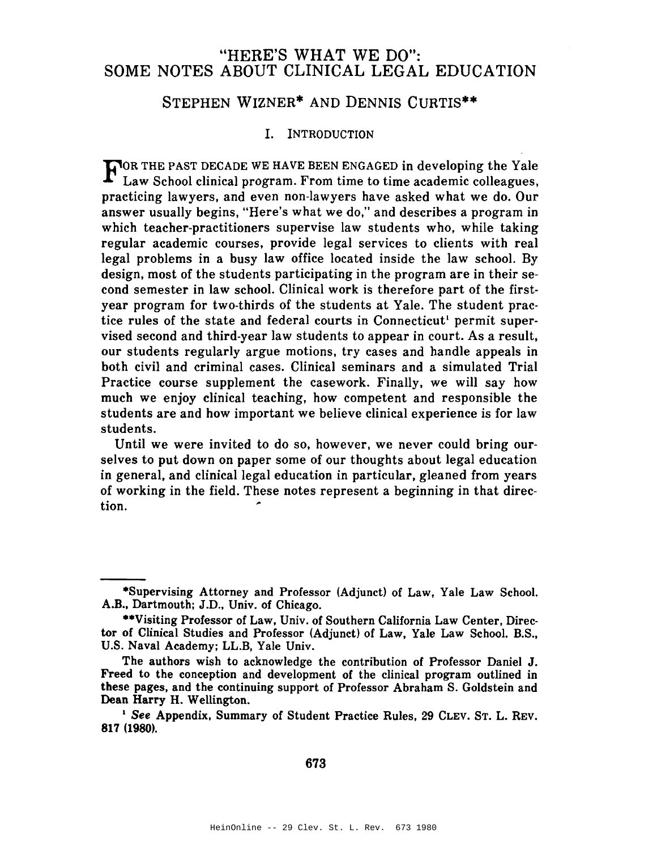# "HERE'S WHAT WE DO": SOME NOTES ABOUT CLINICAL LEGAL EDUCATION

# STEPHEN WIZNER\* AND DENNIS CURTIS\*\*

### I. INTRODUCTION

FOR THE PAST DECADE WE HAVE BEEN ENGAGED in developing the Yale Law School clinical program. From time to time academic colleagues, practicing lawyers, and even non-lawyers have asked what we do. Our answer usually begins, "Here's what we do," and describes a program in which teacher-practitioners supervise law students who, while taking regular academic courses, provide legal services to clients with real legal problems in a busy law office located inside the law school. By design, most of the students participating in the program are in their second semester in law school. Clinical work is therefore part of the firstyear program for two-thirds of the students at Yale. The student practice rules of the state and federal courts in Connecticut' permit supervised second and third-year law students to appear in court. As a result, our students regularly argue motions, try cases and handle appeals in both civil and criminal cases. Clinical seminars and a simulated Trial Practice course supplement the casework. Finally, we will say how much we enjoy clinical teaching, how competent and responsible the students are and how important we believe clinical experience is for law students.

Until we were invited to do so, however, we never could bring ourselves to put down on paper some of our thoughts about legal education in general, and clinical legal education in particular, gleaned from years of working in the field. These notes represent a beginning in that direction.

<sup>·</sup>Supervising Attorney and Professor (Adjunct) of Law, Yale Law School. A.B., Dartmouth; J.D., Univ. of Chicago.

<sup>··</sup>Visiting Professor of Law, Univ. of Southern California Law Center, Director of Clinical Studies and Professor (Adjunct) of Law, Yale Law School. B.S., U.S. Naval Academy; LL.B, Yale Univ.

The authors wish to acknowledge the contribution of Professor Daniel J. Freed to the conception and development of the clinical program outlined in these pages, and the continuing support of Professor Abraham S. Goldstein and Dean Harry H. Wellington.

<sup>&</sup>lt;sup>1</sup> See Appendix, Summary of Student Practice Rules, 29 CLEV. ST. L. REV. 817 (1980).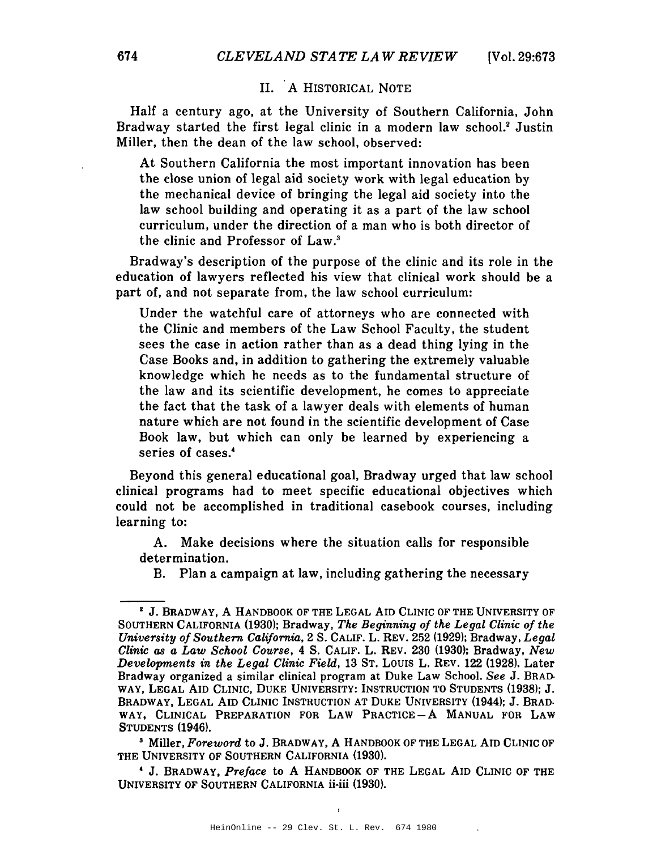## II. A HISTORICAL NOTE

Half a century ago, at the University of Southern California, John Bradway started the first legal clinic in a modern law school.<sup>2</sup> Justin Miller, then the dean of the law school, observed:

At Southern California the most important innovation has been the close union of legal aid society work with legal education by the mechanical device of bringing the legal aid society into the law school building and operating it as a part of the law school curriculum, under the direction of a man who is both director of the clinic and Professor of Law.3

Bradway's description of the purpose of the clinic and its role in the education of lawyers reflected his view that clinical work should be a part of, and not separate from, the law school curriculum:

Under the watchful care of attorneys who are connected with the Clinic and members of the Law School Faculty, the student sees the case in action rather than as a dead thing lying in the Case Books and, in addition to gathering the extremely valuable knowledge which he needs as to the fundamental structure of the law and its scientific development, he comes to appreciate the fact that the task of a lawyer deals with elements of human nature which are not found in the scientific development of Case Book law, but which can only be learned by experiencing a series of cases.<sup>4</sup>

Beyond this general educational goal, Bradway urged that law school clinical programs had to meet specific educational objectives which could not be accomplished in traditional casebook courses, including learning to:

A. Make decisions where the situation calls for responsible determination.

B. Plan a campaign at law, including gathering the necessary

<sup>8</sup> Miller, *Foreword* to J. BRADWAY, A HANDBOOK OF THE LEGAL AID CLINIC OF THE UNIVERSITY OF SOUTHERN CALIFORNIA (1930).

<sup>4</sup> J. BRADWAY, *Preface* to A HANDBOOK OF THE LEGAL AID CLINIC OF THE UNIVERSITY OF SOUTHERN CALIFORNIA ii-iii (1930).

<sup>2</sup> J. BRADWAY, A HANDBOOK OF THE LEGAL AID CLINIC OF THE UNIVERSITY OF SOUTHERN CALIFORNIA (1930); Bradway, *The Beginning of the Legal Clinic of the University of Southern California,* 2 S. CALIF. L. REV. 252 (1929); Bradway, *Legal Clinic as a Law School Course,* 4 S. CALIF. L. REV. 230 (1930); Bradway, *New Developments in the Legal Clinic Field,* 13 ST. LOUIS L. REV. 122 (1928). Later Bradway organized a similar clinical program at Duke Law School. *See* J. BRAD-WAY, LEGAL AID CLINIC, DUKE UNIVERSITY: INSTRUCTION TO STUDENTS (1938); J. BRADWAY, LEGAL AID CLINIC INSTRUCTION AT DUKE UNIVERSITY (1944); J. BRAD-WAY, CLINICAL PREPARATION FOR LAW PRACTICE-A MANUAL FOR LAW STUDENTS (1946).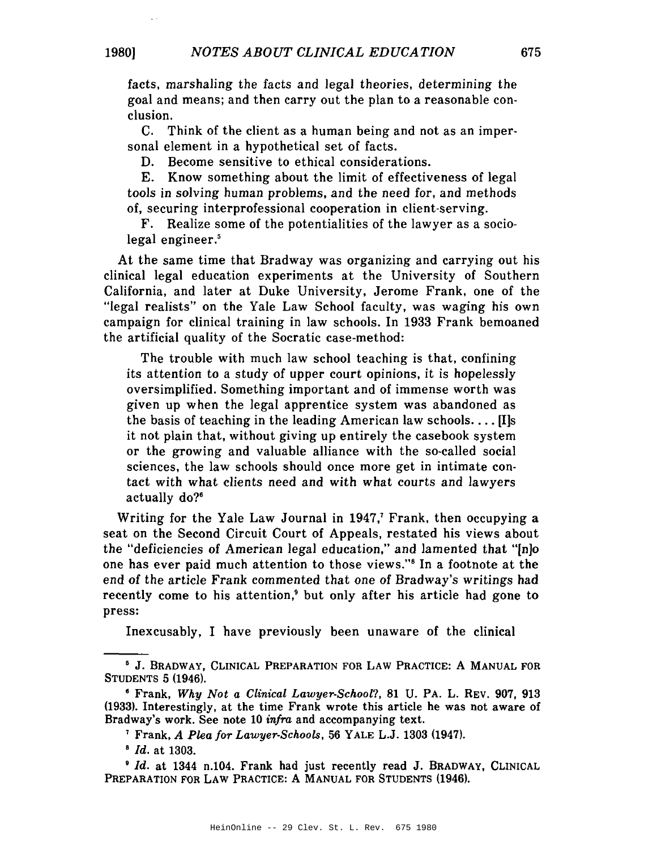facts, marshaling the facts and legal theories, determining the goal and means; and then carry out the plan to a reasonable conclusion.

C. Think of the client as a human being and not as an impersonal element in a hypothetical set of facts.

D. Become sensitive to ethical considerations.

E. Know something about the limit of effectiveness of legal tools in solving human problems, and the need for, and methods of, securing interprofessional cooperation in client-serving.

F. Realize some of the potentialities of the lawyer as a sociolegal engineer.<sup>5</sup>

At the same time that Bradway was organizing and carrying out his clinical legal education experiments at the University of Southern California, and later at Duke University, Jerome Frank, one of the "legal realists" on the Yale Law School faculty, was waging his own campaign for clinical training in law schools. In 1933 Frank bemoaned the artificial quality of the Socratic case-method:

The trouble with much law school teaching is that, confining its attention to a study of upper court opinions, it is hopelessly oversimplified. Something important and of immense worth was given up when the legal apprentice system was abandoned as the basis of teaching in the leading American law schools.... [I]s it not plain that, without giving up entirely the casebook system or the growing and valuable alliance with the so-called social sciences, the law schools should once more get in intimate contact with what clients need and with what courts and lawyers actually do?6

Writing for the Yale Law Journal in  $1947$ ,<sup>7</sup> Frank, then occupying a seat on the Second Circuit Court of Appeals, restated his views about the "deficiencies of American legal education," and lamented that "[n]o one has ever paid much attention to those views."<sup>8</sup> In a footnote at the end of the article Frank commented that one of Bradway's writings had recently come to his attention,<sup>9</sup> but only after his article had gone to press:

Inexcusably, I have previously been unaware of the clinical

<sup>6</sup> J. BRADWAY, CLINICAL PREPARATION FOR LAW PRACTICE: A MANUAL FOR STUDENTS 5 (1946).

<sup>6</sup> Frank, *Why Not a Clinical Lawyer-School?,* 81 U. PA. L. REV. 907, 913 (1933). Interestingly, at the time Frank wrote this article he was not aware of Bradway's work. See note 10 *infra* and accompanying text.

<sup>1</sup> Frank, *A Plea for Lawyer-Schools,* 56 YALE L.J. 1303 (1947).

 $3 d. at 1303.$ 

<sup>&</sup>lt;sup>9</sup> Id. at 1344 n.104. Frank had just recently read J. BRADWAY, CLINICAL PREPARATION FOR LAW PRACTICE: A MANUAL FOR STUDENTS (1946).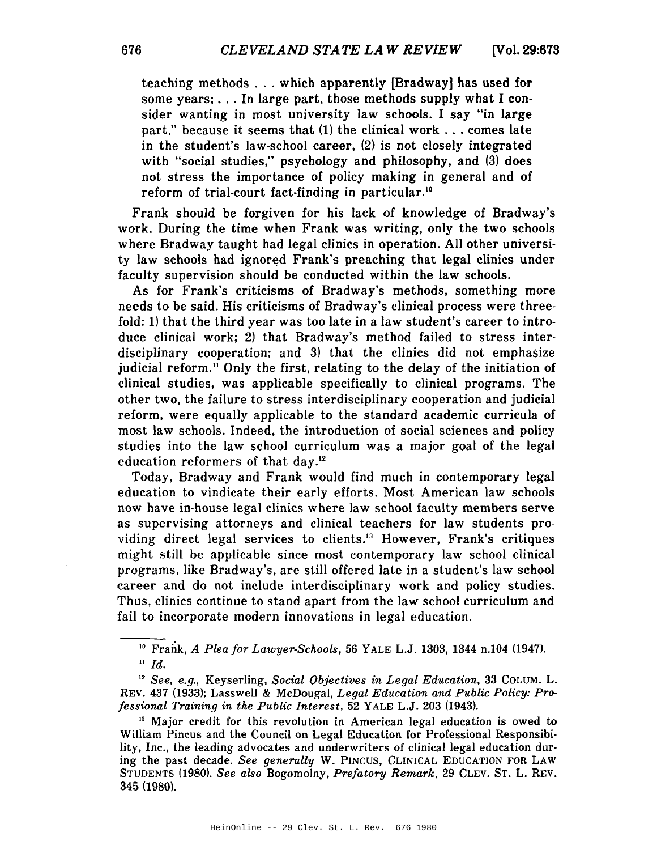teaching methods ... which apparently [Bradway] has used for some years; ... In large part, those methods supply what <sup>I</sup> consider wanting in most university law schools. I say "in large part," because it seems that (1) the clinical work ... comes late in the student's law-school career, (2) is not closely integrated with "social studies," psychology and philosophy, and (3) does not stress the importance of policy making in general and of reform of trial-court fact-finding in particular.<sup>10</sup>

Frank should be forgiven for his lack of knowledge of Bradway's work. During the time when Frank was writing, only the two schools where Bradway taught had legal clinics in operation. All other university law schools had ignored Frank's preaching that legal clinics under faculty supervision should be conducted within the law schools.

As for Frank's criticisms of Bradway's methods, something more needs to be said. His criticisms of Bradway's clinical process were threefold: 1) that the third year was too late in a law student's career to introduce clinical work; 2) that Bradway's method failed to stress interdisciplinary cooperation; and 3) that the clinics did not emphasize judicial reform.<sup>11</sup> Only the first, relating to the delay of the initiation of clinical studies, was applicable specifically to clinical programs. The other two, the failure to stress interdisciplinary cooperation and judicial reform, were equally applicable to the standard academic curricula of most law schools. Indeed, the introduction of social sciences and policy studies into the law school curriculum was a major goal of the legal education reformers of that day.12

Today, Bradway and Frank would find much in contemporary legal education to vindicate their early efforts. Most American law schools now have in-house legal clinics where law school faculty members serve as supervising attorneys and clinical teachers for law students providing direct legal services to clients.13 However, Frank's critiques might still be applicable since most contemporary law school clinical programs, like Bradway's, are still offered late in a student's law school career and do not include interdisciplinary work and policy studies. Thus, clinics continue to stand apart from the law school curriculum and fail to incorporate modern innovations in legal education.

I' Frank, *A Plea for Lawyer-Schools,* 56 YALE L.J. 1303. 1344 n.104 (1947). <sup>11</sup> *Id.*

*<sup>12</sup> See, e.g.,* Keyserling, *Social Objectives in Legal Education,* 33 COLUM. L. REV. 437 (1933); Lasswell & McDougal. *Legal Education and Public Policy: Professional Training in the Public Interest.* 52 YALE L.J. 203 (1943).

<sup>13</sup> Major credit for this revolution in American legal education is owed to William Pincus and the Council on Legal Education for Professional Responsibility, Inc., the leading advocates and underwriters of clinical legal education during the past decade. *See generally* W. PINCUS, CLINICAL EDUCATION FOR LAW STUDENTS (1980). *See also* Bogomolny, *Prefatory Remark.* 29 CLEV. ST. L. REV. 345 (1980).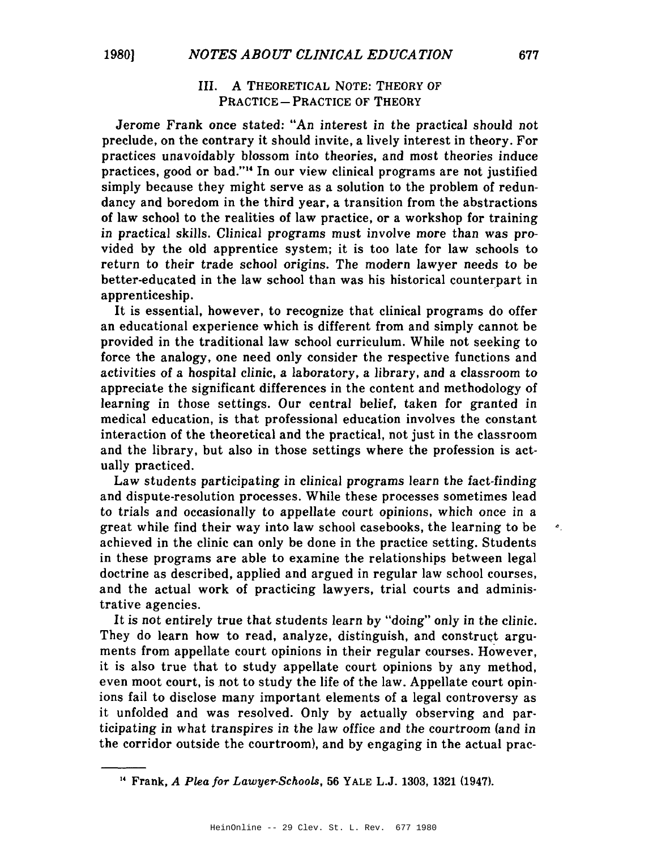# III. A THEORETICAL NOTE: THEORY OF PRACTICE - PRACTICE OF THEORY

Jerome Frank once stated: "An interest in the practical should not preclude, on the contrary it should invite, a lively interest in theory. For practices unavoidably blossom into theories, and most theories induce practices, good or bad."!4 In our view clinical programs are not justified simply because they might serve as a solution to the problem of redundancy and boredom in the third year, a transition from the abstractions of law school to the realities of law practice, or a workshop for training in practical skills. Clinical programs must involve more than was provided by the old apprentice system; it is too late for law schools to return to their trade school origins. The modern lawyer needs to be better-educated in the law school than was his historical counterpart in apprenticeship.

It is essential, however, to recognize that clinical programs do offer an educational experience which is different from and simply cannot be provided in the traditional law school curriculum. While not seeking to force the analogy, one need only consider the respective functions and activities of a hospital clinic, a laboratory, a library, and a classroom to appreciate the significant differences in the content and methodology of learning in those settings. Our central belief, taken for granted in medical education, is that professional education involves the constant interaction of the theoretical and the practical, not just in the classroom and the library, but also in those settings where the profession is actually practiced.

Law students participating in clinical programs learn the fact-finding and dispute-resolution processes. While these processes sometimes lead to trials and occasionally to appellate court opinions, which once in a great while find their way into law school casebooks, the learning to be achieved in the clinic can only be done in the practice setting. Students in these programs are able to examine the relationships between legal doctrine as described, applied and argued in regular law school courses, and the actual work of practicing lawyers, trial courts and administrative agencies.

It is not entirely true that students learn by "doing" only in the clinic. They do learn how to read, analyze, distinguish, and construct arguments from appellate court opinions in their regular courses. However, it is also true that to study appellate court opinions by any method, even moot court, is not to study the life of the law. Appellate court opinions fail to disclose many important elements of a legal controversy as it unfolded and was resolved. Only by actually observing and participating in what transpires in the law office and the courtroom (and in the corridor outside the courtroom), and by engaging in the actual prac $\sigma_{\perp}$ 

<sup>&</sup>quot; Frank, *A Plea for Lawyer-Schools,* 56 YALE L.J. 1303, 1321 (1947).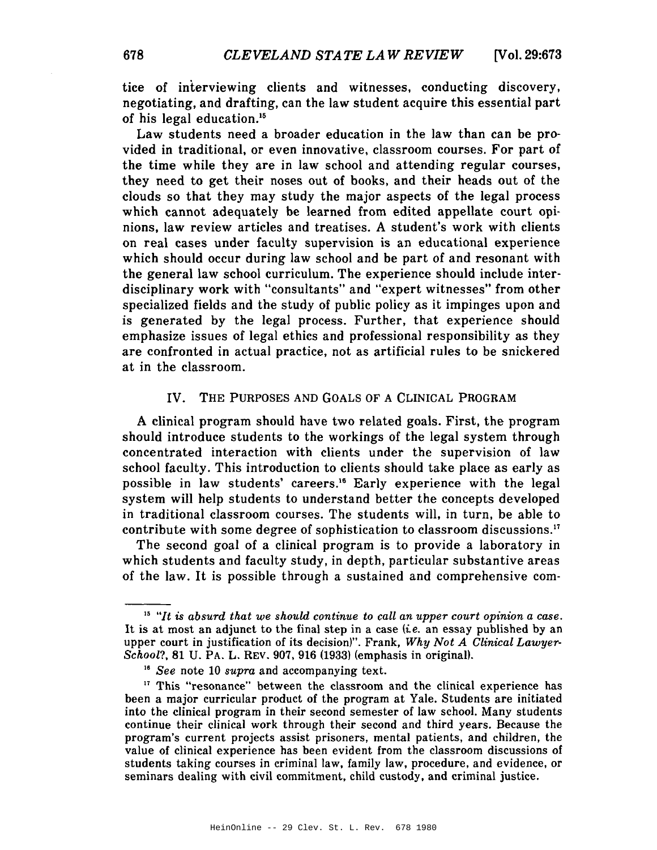tice of interviewing clients and witnesses, conducting discovery, negotiating, and drafting, can the law student acquire this essential part of his legal education.<sup>15</sup>

Law students need a broader education in the law than can be provided in traditional, or even innovative, classroom courses. For part of the time while they are in law school and attending regular courses, they need to get their noses out of books, and their heads out of the clouds so that they may study the major aspects of the legal process which cannot adequately be learned from edited appellate court opinions, law review articles and treatises. A student's work with clients on real cases under faculty supervision is an educational experience which should occur during law school and be part of and resonant with the general law school curriculum. The experience should include interdisciplinary work with "consultants" and "expert witnesses" from other specialized fields and the study of public policy as it impinges upon and is generated by the legal process. Further, that experience should emphasize issues of legal ethics and professional responsibility as they are confronted in actual practice, not as artificial rules to be snickered at in the classroom.

## IV. THE PURPOSES AND GOALS OF A CLINICAL PROGRAM

A clinical program should have two related goals. First, the program should introduce students to the workings of the legal system through concentrated interaction with clients under the supervision of law school faculty. This introduction to clients should take place as early as possible in law students' careers.16 Early experience with the legal system will help students to understand better the concepts developed in traditional classroom courses. The students will, in turn, be able to contribute with some degree of sophistication to classroom discussions. <sup>17</sup>

The second goal of a clinical program is to provide a laboratory in which students and faculty study, in depth, particular substantive areas of the law. It is possible through a sustained and comprehensive com-

<sup>15</sup> *"It is absurd that we should continue to call an upper court opinion a case.* It is at most an adjunct to the final step in a case (*i.e.* an essay published by an upper court in justification of its decision)". Frank, *Why Not A Clinical Lawyer-School?,* 81 U. PA. L. REV. 907, 916 (1933) (emphasis in original).

<sup>16</sup> *See* note 10 *supra* and accompanying text.

<sup>&</sup>lt;sup>17</sup> This "resonance" between the classroom and the clinical experience has been a major curricular product of the program at Yale. Students are initiated into the clinical program in their second semester of law school. Many students continue their clinical work through their second and third years. Because the program's current projects assist prisoners, mental patients, and children, the value of clinical experience has been evident from the classroom discussions of students taking courses in criminal law, family law, procedure, and evidence, or seminars dealing with civil commitment, child custody, and criminal justice.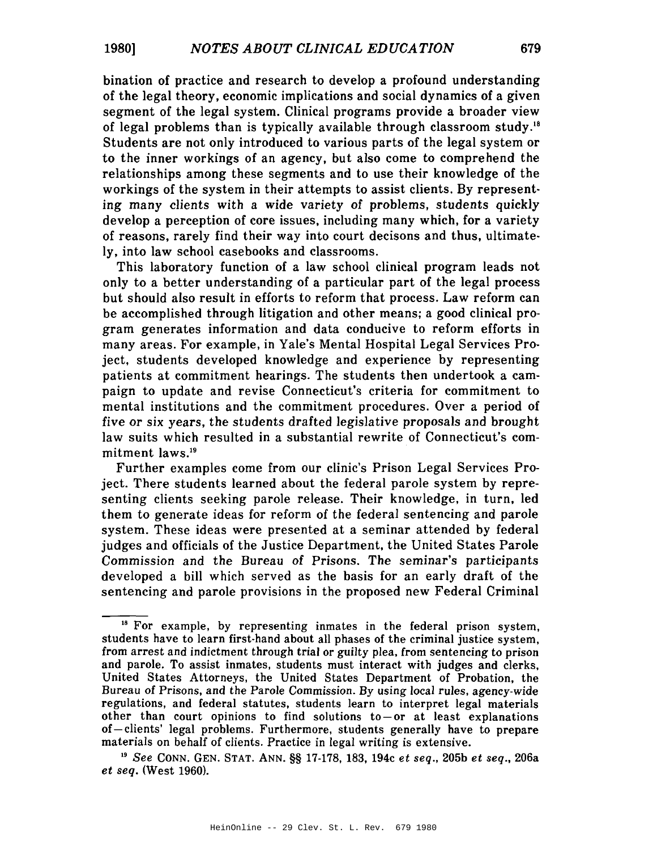bination of practice and research to develop a profound understanding of the legal theory, economic implications and social dynamics of a given segment of the legal system. Clinical programs provide a broader view of legal problems than is typically available through classroom study.<sup>18</sup> Students are not only introduced to various parts of the legal system or to the inner workings of an agency, but also come to comprehend the relationships among these segments and to use their knowledge of the workings of the system in their attempts to assist clients. By representing many clients with a wide variety of problems, students quickly develop a perception of core issues, including many which, for a variety of reasons, rarely find their way into court decisons and thus, ultimately, into law school casebooks and classrooms.

This laboratory function of a law school clinical program leads not only to a better understanding of a particular part of the legal process but should also result in efforts to reform that process. Law reform can be accomplished through litigation and other means; a good clinical program generates information and data conducive to reform efforts in many areas. For example, in Yale's Mental Hospital Legal Services Project, students developed knowledge and experience by representing patients at commitment hearings. The students then undertook a campaign to update and revise Connecticut's criteria for commitment to mental institutions and the commitment procedures. Over a period of five or six years, the students drafted legislative proposals and brought law suits which resulted in a substantial rewrite of Connecticut's commitment laws.<sup>19</sup>

Further examples come from our clinic's Prison Legal Services Project. There students learned about the federal parole system by representing clients seeking parole release. Their knowledge, in turn, led them to generate ideas for reform of the federal sentencing and parole system. These ideas were presented at a seminar attended by federal judges and officials of the Justice Department, the United States Parole Commission and the Bureau of Prisons. The seminar's participants developed a bill which served as the basis for an early draft of the sentencing and parole provisions in the proposed new Federal Criminal

<sup>&</sup>lt;sup>18</sup> For example, by representing inmates in the federal prison system, students have to learn first-hand about all phases of the criminal justice system, from arrest and indictment through trial or guilty plea, from sentencing to prison and parole. To assist inmates, students must interact with judges and clerks, United States Attorneys, the United States Department of Probation, the Bureau of Prisons, and the Parole Commission. By using local rules, agency-wide regulations, and federal statutes, students learn to interpret legal materials other than court opinions to find solutions to  $-$  or at least explanations of- clients' legal problems. Furthermore, students generally have to prepare materials on behalf of clients. Practice in legal writing is extensive.

*<sup>19</sup> See* CONN. GEN. STAT. ANN. §§ 17-178, 183, 194c *et seq.,* 205b *et seq.,* 206a *et seq.* (West 1960).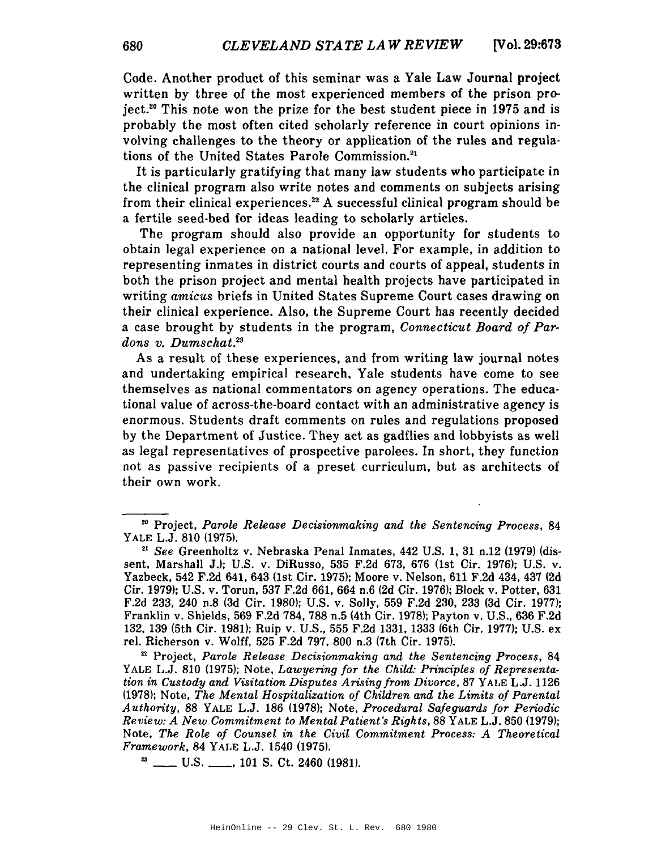Code. Another product of this seminar was a Yale Law Journal project written by three of the most experienced members of the prison project.20 This note won the prize for the best student piece in 1975 and is probably the most often cited scholarly reference in court opinions involving challenges to the theory or application of the rules and regulations of the United States Parole Commission.<sup>21</sup>

It is particularly gratifying that many law students who participate in the clinical program also write notes and comments on subjects arising from their clinical experiences.<sup>22</sup> A successful clinical program should be a fertile seed-bed for ideas leading to scholarly articles.

The program should also provide an opportunity for students to obtain legal experience on a national level. For example, in addition to representing inmates in district courts and courts of appeal, students in both the prison project and mental health projects have participated in writing *amicus* briefs in United States Supreme Court cases drawing on their clinical experience. Also, the Supreme Court has recently decided a case brought by students in the program, *Connecticut Board of Pardons v. Dumschat.23*

As a result of these experiences, and from writing law journal notes and undertaking empirical research, Yale students have come to see themselves as national commentators on agency operations. The educational value of across-the-board contact with an administrative agency is enormous. Students draft comments on rules and regulations proposed by the Department of Justice. They act as gadflies and lobbyists as well as legal representatives of prospective parolees. In short, they function not as passive recipients of a preset curriculum, but as architects of their own work.

<sup>22</sup> Project, *Parole Release Decisionmaking and the Sentencing Process, 84* YALE L.J. 810 (1975); Note, *Lawyering for the Child: Principles of Representation in Custody and Visitation Disputes Arising from Divorce,* 87 YALE L.J. 1126 (1978); Note, *The Mental Hospitalization of Children and the Limits of Parental Authority,* 88 YALE L.J. 186 (1978); Note, *Procedural Safeguards for Periodic Review: A New Commitment to Mental Patient's Rights,* 88 YALE L.J. 850 (1979); Note, *The Role of Counsel in the Civil Commitment Process: A Theoretical Framework,* 84 YALE L.J. 1540 (1975).

 $2^3$  \_\_\_ U.S. \_\_\_, 101 S. Ct. 2460 (1981).

<sup>20</sup> Project, *Parole Release Decisionmaking and the Sentencing Process, 84* YALE L.J. 810 (1975).

*<sup>21</sup> See* Greenholtz v. Nebraska Penal Inmates, 442 U.S. I, 31 n.12 (1979) (dissent, Marshall J.); U.S. v. DiRusso, 535 F.2d 673, 676 (1st Cir. 1976); U.S. v. Yazbeck, 542 F.2d 641,643 (1st Cir. 1975); Moore v. Nelson, 611 F.2d 434, 437 (2d Cir. 1979); U.S. v. Torun, 537 F.2d 661, 664 n.6 (2d Cir. 1976); Block v. Potter, 631 F.2d 233, 240 n.8 (3d Cir. 1980); U.S. v. Solly, 559 F.2d 230, 233 (3d Cir. 1977); Franklin v. Shields, 569 F.2d 784, 788 n.5 (4th Cir. 1978); Payton v. U.S., 636 F.2d 132, 139 (5th Cir. 1981); Ruip v. U.S., 555 F.2d 1331, 1333 (6th Cir. 1977); U.S. ex reI. Richerson v. Wolff, 525 F.2d 797, 800 n.3 (7th Cir. 1975).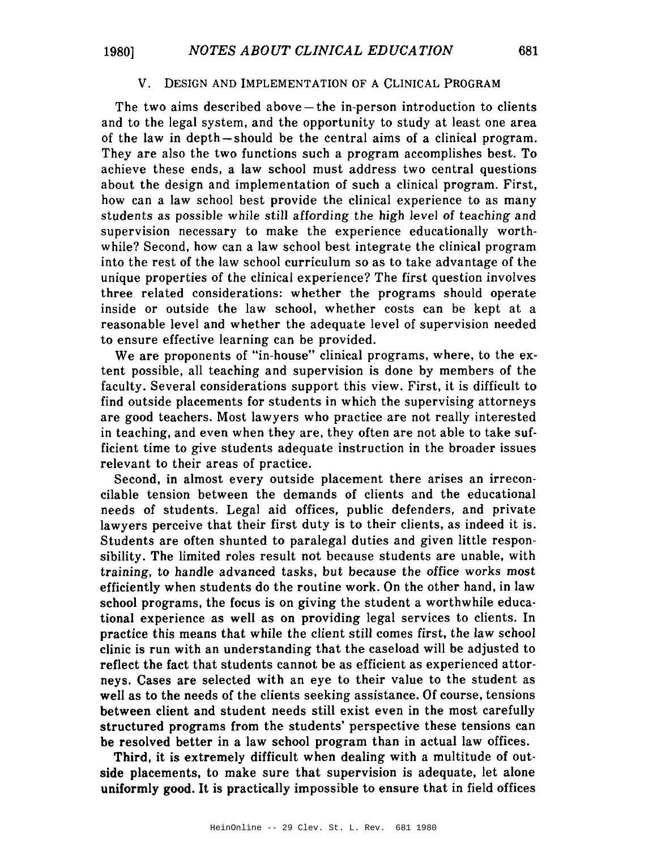### V. DESIGN AND IMPLEMENTATION OF A CLINICAL PROGRAM

The two aims described above  $-$  the in-person introduction to clients and to the legal system, and the opportunity to study at least one area of the law in depth-should be the central aims of a clinical program. They are also the two functions such a program accomplishes best. To achieve these ends, a law school must address two central questions about the design and implementation of such a clinical program. First, how can a law school best provide the clinical experience to as many students as possible while still affording the high level of teaching and supervision necessary to make the experience educationally worthwhile? Second, how can a law school best integrate the clinical program into the rest of the law school curriculum so as to take advantage of the unique properties of the clinical experience? The first question involves three related considerations: whether the programs should operate inside or outside the law school, whether costs can be kept at a reasonable level and whether the adequate level of supervision needed to ensure effective learning can be provided.

We are proponents of "in-house" clinical programs, where, to the extent possible, all teaching and supervision is done by members of the faculty. Several considerations support this view. First, it is difficult to find outside placements for students in which the supervising attorneys are good teachers. Most lawyers who practice are not really interested in teaching, and even when they are, they often are not able to take sufficient time to give students adequate instruction in the broader issues relevant to their areas of practice.

Second, in almost every outside placement there arises an irreconcilable tension between the demands of clients and the educational needs of students. Legal aid offices, public defenders, and private lawyers perceive that their first duty is to their clients, as indeed it is. Students are often shunted to paralegal duties and given little responsibility. The limited roles result not because students are unable, with training, to handle advanced tasks, but because the office works most efficiently when students do the routine work. On the other hand, in law school programs, the focus is on giving the student a worthwhile educational experience as well as on providing legal services to clients. In practice this means that while the client still comes first, the law school clinic is run with an understanding that the caseload will be adjusted to reflect the fact that students cannot be as efficient as experienced attorneys. Cases are selected with an eye to their value to the student as well as to the needs of the clients seeking assistance. Of course, tensions between client and student needs still exist even in the most carefully structured programs from the students' perspective these tensions can be resolved better in a law school program than in actual law offices.

Third, it is extremely difficult when dealing with a multitude of outside placements, to make sure that supervision is adequate, let alone uniformly good. It is practically impossible to ensure that in field offices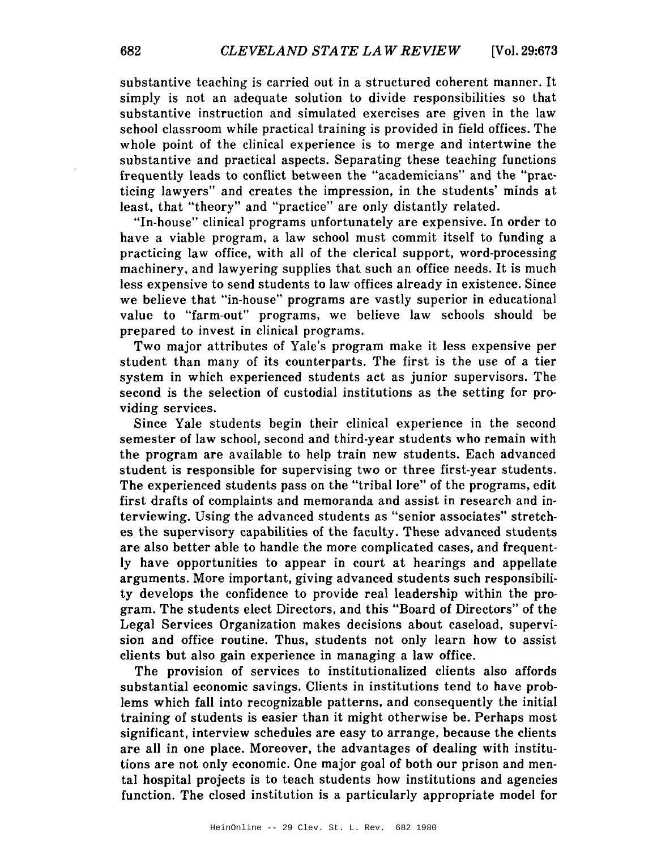substantive teaching is carried out in a structured coherent manner. It simply is not an adequate solution to divide responsibilities so that substantive instruction and simulated exercises are given in the law school classroom while practical training is provided in field offices. The whole point of the clinical experience is to merge and intertwine the substantive and practical aspects. Separating these teaching functions frequently leads to conflict between the "academicians" and the "practicing lawyers" and creates the impression, in the students' minds at least, that "theory" and "practice" are only distantly related.

"In-house" clinical programs unfortunately are expensive. In order to have a viable program, a law school must commit itself to funding a practicing law office, with all of the clerical support, word-processing machinery, and lawyering supplies that such an office needs. It is much less expensive to send students to law offices already in existence. Since we believe that "in-house" programs are vastly superior in educational value to "farm-out" programs, we believe law schools should be prepared to invest in clinical programs.

Two major attributes of Yale's program make it less expensive per student than many of its counterparts. The first is the use of a tier system in which experienced students act as junior supervisors. The second is the selection of custodial institutions as the setting for providing services.

Since Yale students begin their clinical experience in the second semester of law school, second and third-year students who remain with the program are available to help train new students. Each advanced student is responsible for supervising two or three first-year students. The experienced students pass on the "tribal lore" of the programs, edit first drafts of complaints and memoranda and assist in research and interviewing. Using the advanced students as "senior associates" stretches the supervisory capabilities of the faculty. These advanced students are also better able to handle the more complicated cases, and frequently have opportunities to appear in court at hearings and appellate arguments. More important, giving advanced students such responsibility develops the confidence to provide real leadership within the program. The students elect Directors, and this "Board of Directors" of the Legal Services Organization makes decisions about caseload, supervision and office routine. Thus, students not only learn how to assist clients but also gain experience in managing a law office.

The provision of services to institutionalized clients also affords substantial economic savings. Clients in institutions tend to have problems which fall into recognizable patterns, and consequently the initial training of students is easier than it might otherwise be. Perhaps most significant, interview schedules are easy to arrange, because the clients are all in one place. Moreover, the advantages of dealing with institutions are not only economic. One major goal of both our prison and mental hospital projects is to teach students how institutions and agencies function. The closed institution is a particularly appropriate model for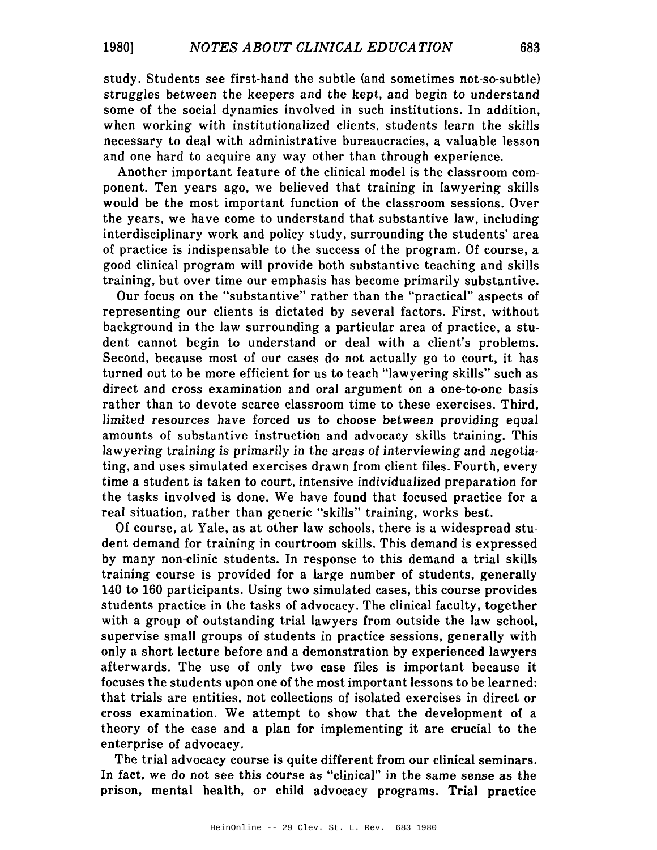study. Students see first-hand the subtle (and sometimes not-so-subtle) struggles between the keepers and the kept, and begin to understand some of the social dynamics involved in such institutions. In addition, when working with institutionalized clients, students learn the skills necessary to deal with administrative bureaucracies, a valuable lesson and one hard to acquire any way other than through experience.

Another important feature of the clinical model is the classroom component. Ten years ago, we believed that training in lawyering skills would be the most important function of the classroom sessions. Over the years, we have come to understand that substantive law, including interdisciplinary work and policy study, surrounding the students' area of practice is indispensable to the success of the program. Of course, a good clinical program will provide both substantive teaching and skills training, but over time our emphasis has become primarily substantive.

Our focus on the "substantive" rather than the "practical" aspects of representing our clients is dictated by several factors. First, without background in the law surrounding a particular area of practice, a student cannot begin to understand or deal with a client's problems. Second, because most of our cases do not actually go to court, it has turned out to be more efficient for us to teach "lawyering skills" such as direct and cross examination and oral argument on a one-to-one basis rather than to devote scarce classroom time to these exercises. Third, limited resources have forced us to choose between providing equal amounts of substantive instruction and advocacy skills training. This lawyering training is primarily in the areas of interviewing and negotiating, and uses simulated exercises drawn from client files. Fourth, every time a student is taken to court, intensive individualized preparation for the tasks involved is done. We have found that focused practice for a real situation, rather than generic "skills" training, works best.

Of course, at Yale, as at other law schools, there is a widespread student demand for training in courtroom skills. This demand is expressed by many non-clinic students. In response to this demand a trial skills training course is provided for a large number of students, generally 140 to 160 participants. Using two simulated cases, this course provides students practice in the tasks of advocacy. The clinical faculty, together with a group of outstanding trial lawyers from outside the law school, supervise small groups of students in practice sessions, generally with only a short lecture before and a demonstration by experienced lawyers afterwards. The use of only two case files is important because it focuses the students upon one of the most important lessons to be learned: that trials are entities, not collections of isolated exercises in direct or cross examination. We attempt to show that the development of a theory of the case and a plan for implementing it are crucial to the enterprise of advocacy.

The trial advocacy course is quite different from our clinical seminars. In fact, we do not see this course as "clinical" in the same sense as the prison, mental health, or child advocacy programs. Trial practice

HeinOnline -- 29 Clev. St. L. Rev. 683 1980